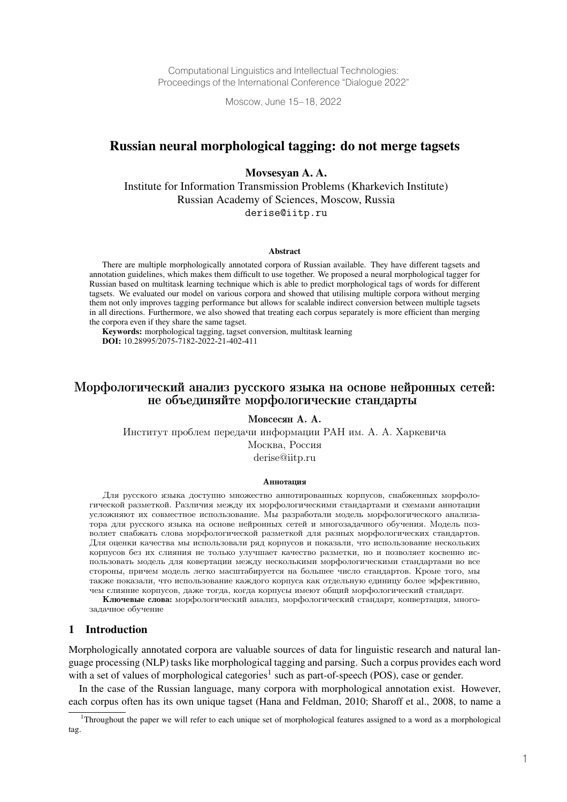Computational Linguistics and Intellectual Technologies: Proceedings of the International Conference "Dialogue 2022"

Moscow, June 15–18, 2022

# Russian neural morphological tagging: do not merge tagsets

### Movsesyan A. A.

Institute for Information Transmission Problems (Kharkevich Institute) Russian Academy of Sciences, Moscow, Russia derise@iitp.ru

#### **Abstract**

There are multiple morphologically annotated corpora of Russian available. They have different tagsets and annotation guidelines, which makes them difficult to use together. We proposed a neural morphological tagger for Russian based on multitask learning technique which is able to predict morphological tags of words for different tagsets. We evaluated our model on various corpora and showed that utilising multiple corpora without merging them not only improves tagging performance but allows for scalable indirect conversion between multiple tagsets in all directions. Furthermore, we also showed that treating each corpus separately is more efficient than merging the corpora even if they share the same tagset.

Keywords: morphological tagging, tagset conversion, multitask learning **DOI:** 10.28995/2075-7182-2022-21-402-411

# Морфологический анализ русского языка на основе нейронных сетей: не объединяйте морфологические стандарты

Мовсесян А. А.

Институт проблем передачи информации РАН им. А. А. Харкевича Москва, Россия derise@iitp.ru

#### Аннотация

Для русского языка доступно множество аннотированных корпусов, снабженных морфологической разметкой. Различия между их морфологическими стандартами и схемами аннотации усложняют их совместное использование. Мы разработали модель морфологического анализатора для русского языка на основе нейронных сетей и многозадачного обучения. Модель позволяет снабжать слова морфологической разметкой для разных морфологических стандартов. Для оценки качества мы использовали ряд корпусов и показали, что использование нескольких корпусов без их слияния не только улучшает качество разметки, но и позволяет косвенно использовать модель для ковертации между несколькими морфологическими стандартами во все стороны, причем модель легко масштабируется на большее число стандартов. Кроме того, мы также показали, что использование каждого корпуса как отдельную единицу более эффективно, чем слияние корпусов, даже тогда, когда корпусы имеют общий морфологический стандарт.

Ключевые слова: морфологический анализ, морфологический стандарт, конвертация, многозадачное обучение

### 1 Introduction

Morphologically annotated corpora are valuable sources of data for linguistic research and natural language processing (NLP) tasks like morphological tagging and parsing. Such a corpus provides each word with a set of values of morphological categories<sup>1</sup> such as part-of-speech (POS), case or gender.

In the case of the Russian language, many corpora with morphological annotation exist. However, each corpus often has its own unique tagset (Hana and Feldman, 2010; Sharoff et al., 2008, to name a

<sup>1</sup> Throughout the paper we will refer to each unique set of morphological features assigned to a word as a morphological tag.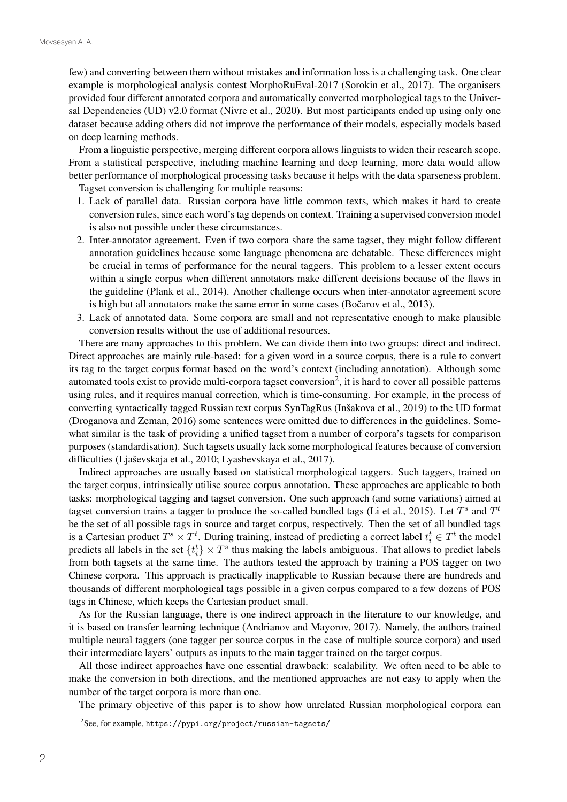few) and converting between them without mistakes and information loss is a challenging task. One clear example is morphological analysis contest MorphoRuEval-2017 (Sorokin et al., 2017). The organisers provided four different annotated corpora and automatically converted morphological tags to the Universal Dependencies (UD) v2.0 format (Nivre et al., 2020). But most participants ended up using only one dataset because adding others did not improve the performance of their models, especially models based on deep learning methods.

From a linguistic perspective, merging different corpora allows linguists to widen their research scope. From a statistical perspective, including machine learning and deep learning, more data would allow better performance of morphological processing tasks because it helps with the data sparseness problem.

Tagset conversion is challenging for multiple reasons:

- 1. Lack of parallel data. Russian corpora have little common texts, which makes it hard to create conversion rules, since each word's tag depends on context. Training a supervised conversion model is also not possible under these circumstances.
- 2. Inter-annotator agreement. Even if two corpora share the same tagset, they might follow different annotation guidelines because some language phenomena are debatable. These differences might be crucial in terms of performance for the neural taggers. This problem to a lesser extent occurs within a single corpus when different annotators make different decisions because of the flaws in the guideline (Plank et al., 2014). Another challenge occurs when inter-annotator agreement score is high but all annotators make the same error in some cases (Bočarov et al.,  $2013$ ).
- 3. Lack of annotated data. Some corpora are small and not representative enough to make plausible conversion results without the use of additional resources.

There are many approaches to this problem. We can divide them into two groups: direct and indirect. Direct approaches are mainly rule-based: for a given word in a source corpus, there is a rule to convert its tag to the target corpus format based on the word's context (including annotation). Although some automated tools exist to provide multi-corpora tagset conversion<sup>2</sup>, it is hard to cover all possible patterns using rules, and it requires manual correction, which is time-consuming. For example, in the process of converting syntactically tagged Russian text corpus SynTagRus (Inšakova et al., 2019) to the UD format (Droganova and Zeman, 2016) some sentences were omitted due to differences in the guidelines. Somewhat similar is the task of providing a unified tagset from a number of corpora's tagsets for comparison purposes (standardisation). Such tagsets usually lack some morphological features because of conversion difficulties (Ljaševskaja et al., 2010; Lyashevskaya et al., 2017).

Indirect approaches are usually based on statistical morphological taggers. Such taggers, trained on the target corpus, intrinsically utilise source corpus annotation. These approaches are applicable to both tasks: morphological tagging and tagset conversion. One such approach (and some variations) aimed at tagset conversion trains a tagger to produce the so-called bundled tags (Li et al., 2015). Let  $T^s$  and  $T^t$ be the set of all possible tags in source and target corpus, respectively. Then the set of all bundled tags is a Cartesian product  $T^s \times T^t$ . During training, instead of predicting a correct label  $t_i^t \in T^t$  the model predicts all labels in the set  $\{t_i^t\} \times T^s$  thus making the labels ambiguous. That allows to predict labels from both tagsets at the same time. The authors tested the approach by training a POS tagger on two Chinese corpora. This approach is practically inapplicable to Russian because there are hundreds and thousands of different morphological tags possible in a given corpus compared to a few dozens of POS tags in Chinese, which keeps the Cartesian product small.

As for the Russian language, there is one indirect approach in the literature to our knowledge, and it is based on transfer learning technique (Andrianov and Mayorov, 2017). Namely, the authors trained multiple neural taggers (one tagger per source corpus in the case of multiple source corpora) and used their intermediate layers' outputs as inputs to the main tagger trained on the target corpus.

All those indirect approaches have one essential drawback: scalability. We often need to be able to make the conversion in both directions, and the mentioned approaches are not easy to apply when the number of the target corpora is more than one.

The primary objective of this paper is to show how unrelated Russian morphological corpora can

 $^2$ See, for example, <code>https://pypi.org/project/russian-tagsets/</code>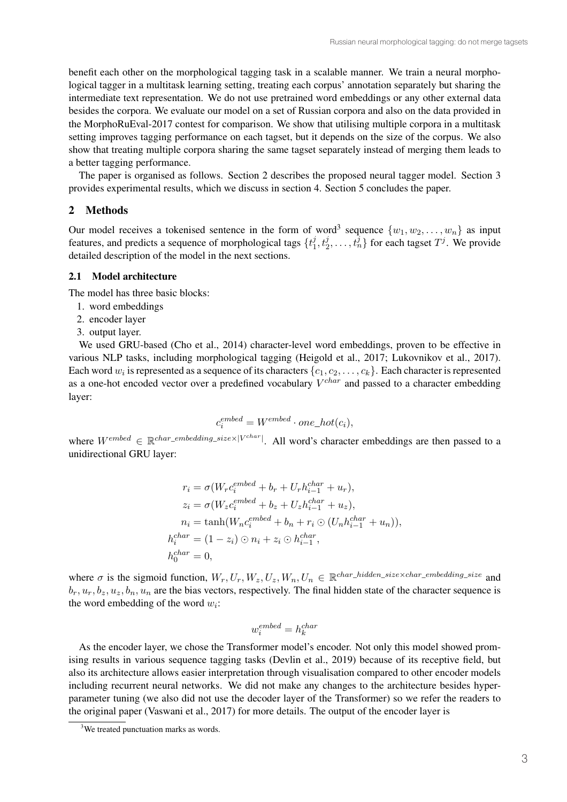benefit each other on the morphological tagging task in a scalable manner. We train a neural morphological tagger in a multitask learning setting, treating each corpus' annotation separately but sharing the intermediate text representation. We do not use pretrained word embeddings or any other external data besides the corpora. We evaluate our model on a set of Russian corpora and also on the data provided in the MorphoRuEval-2017 contest for comparison. We show that utilising multiple corpora in a multitask setting improves tagging performance on each tagset, but it depends on the size of the corpus. We also show that treating multiple corpora sharing the same tagset separately instead of merging them leads to a better tagging performance.

The paper is organised as follows. Section 2 describes the proposed neural tagger model. Section 3 provides experimental results, which we discuss in section 4. Section 5 concludes the paper.

### 2 Methods

Our model receives a tokenised sentence in the form of word<sup>3</sup> sequence  $\{w_1, w_2, \ldots, w_n\}$  as input features, and predicts a sequence of morphological tags  $\{t_1^j, t_2^j, \ldots, t_n^j\}$  for each tagset  $T^j$ . We provide detailed description of the model in the next sections.

#### 2.1 Model architecture

The model has three basic blocks:

- 1. word embeddings
- 2. encoder layer
- 3. output layer.

We used GRU-based (Cho et al., 2014) character-level word embeddings, proven to be effective in various NLP tasks, including morphological tagging (Heigold et al., 2017; Lukovnikov et al., 2017). Each word  $w_i$  is represented as a sequence of its characters  $\{c_1, c_2, \ldots, c_k\}$ . Each character is represented as a one-hot encoded vector over a predefined vocabulary  $V^{char}$  and passed to a character embedding layer:

$$
c_i^{embed} = W^{embed} \cdot one\_hot(c_i),
$$

where  $W^{embed} \in \mathbb{R}^{char\_embedding\_size \times |V^{char}|}$ . All word's character embeddings are then passed to a unidirectional GRU layer:

$$
r_i = \sigma(W_r c_i^{embed} + b_r + U_r h_{i-1}^{char} + u_r),
$$
  
\n
$$
z_i = \sigma(W_z c_i^{embed} + b_z + U_z h_{i-1}^{char} + u_z),
$$
  
\n
$$
n_i = \tanh(W_n c_i^{embed} + b_n + r_i \odot (U_n h_{i-1}^{char} + u_n)),
$$
  
\n
$$
h_i^{char} = (1 - z_i) \odot n_i + z_i \odot h_{i-1}^{char},
$$
  
\n
$$
h_0^{char} = 0,
$$

where  $\sigma$  is the sigmoid function,  $W_r, U_r, W_z, U_z, W_n, U_n \in \mathbb{R}^{char\_hidden\_size \times char\_embedding\_size}$  and  $b_r, u_r, b_z, u_z, b_n, u_n$  are the bias vectors, respectively. The final hidden state of the character sequence is the word embedding of the word  $w_i$ :

$$
w_i^{embed} = h_k^{char}
$$

As the encoder layer, we chose the Transformer model's encoder. Not only this model showed promising results in various sequence tagging tasks (Devlin et al., 2019) because of its receptive field, but also its architecture allows easier interpretation through visualisation compared to other encoder models including recurrent neural networks. We did not make any changes to the architecture besides hyperparameter tuning (we also did not use the decoder layer of the Transformer) so we refer the readers to the original paper (Vaswani et al., 2017) for more details. The output of the encoder layer is

<sup>&</sup>lt;sup>3</sup>We treated punctuation marks as words.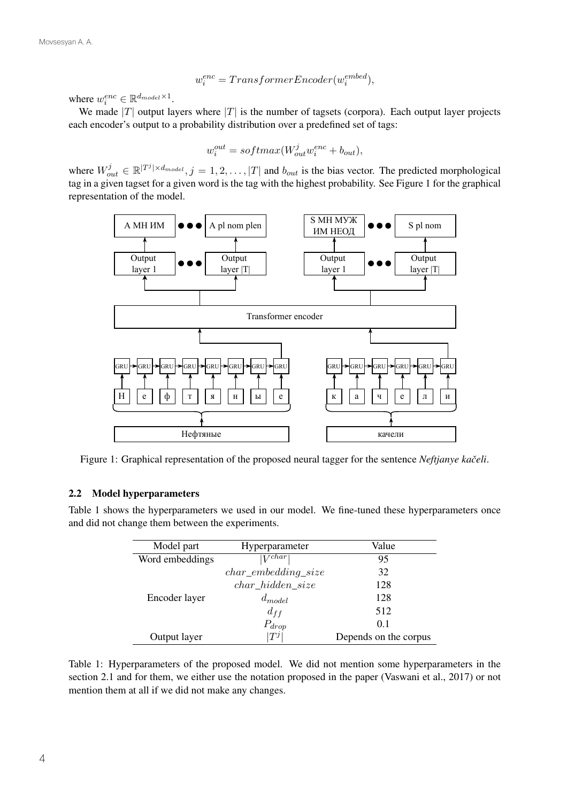$$
w_i^{enc} = TransferEncoder(w_i^{embed}),
$$

where  $w_i^{enc} \in \mathbb{R}^{d_{model} \times 1}$ .

We made |T| output layers where |T| is the number of tagsets (corpora). Each output layer projects each encoder's output to a probability distribution over a predefined set of tags:

$$
w_i^{out} = softmax(W_{out}^j w_i^{enc} + b_{out}),
$$

where  $W_{out}^j \in \mathbb{R}^{|T^j| \times d_{model}}, j = 1, 2, ..., |T|$  and  $b_{out}$  is the bias vector. The predicted morphological tag in a given tagset for a given word is the tag with the highest probability. See Figure 1 for the graphical representation of the model.



Figure 1: Graphical representation of the proposed neural tagger for the sentence *Neftjanye kačeli*.

#### 2.2 Model hyperparameters

Table 1 shows the hyperparameters we used in our model. We fine-tuned these hyperparameters once and did not change them between the experiments.

| Model part      | Hyperparameter          | Value                 |  |
|-----------------|-------------------------|-----------------------|--|
| Word embeddings | $\overline{ V^{char} }$ | 95                    |  |
|                 | $char\_embedding\_size$ | 32                    |  |
|                 | $char\_hidden\_size$    | 128                   |  |
| Encoder layer   | $d_{model}$             | 128                   |  |
|                 | $d_{ff}$                | 512                   |  |
|                 | $P_{drop}$              | 0.1                   |  |
| Output layer    | $T^j$                   | Depends on the corpus |  |

Table 1: Hyperparameters of the proposed model. We did not mention some hyperparameters in the section 2.1 and for them, we either use the notation proposed in the paper (Vaswani et al., 2017) or not mention them at all if we did not make any changes.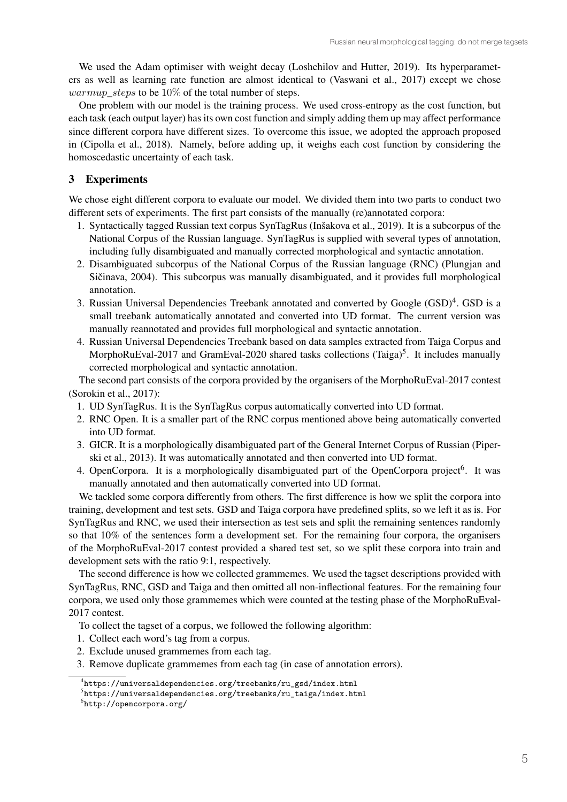We used the Adam optimiser with weight decay (Loshchilov and Hutter, 2019). Its hyperparameters as well as learning rate function are almost identical to (Vaswani et al., 2017) except we chose *warmup steps* to be  $10\%$  of the total number of steps.

One problem with our model is the training process. We used cross-entropy as the cost function, but each task (each output layer) has its own cost function and simply adding them up may affect performance since different corpora have different sizes. To overcome this issue, we adopted the approach proposed in (Cipolla et al., 2018). Namely, before adding up, it weighs each cost function by considering the homoscedastic uncertainty of each task.

## 3 Experiments

We chose eight different corpora to evaluate our model. We divided them into two parts to conduct two different sets of experiments. The first part consists of the manually (re)annotated corpora:

- 1. Syntactically tagged Russian text corpus SynTagRus (Inšakova et al., 2019). It is a subcorpus of the National Corpus of the Russian language. SynTagRus is supplied with several types of annotation, including fully disambiguated and manually corrected morphological and syntactic annotation.
- 2. Disambiguated subcorpus of the National Corpus of the Russian language (RNC) (Plungjan and Sičinava, 2004). This subcorpus was manually disambiguated, and it provides full morphological annotation.
- 3. Russian Universal Dependencies Treebank annotated and converted by Google (GSD)<sup>4</sup>. GSD is a small treebank automatically annotated and converted into UD format. The current version was manually reannotated and provides full morphological and syntactic annotation.
- 4. Russian Universal Dependencies Treebank based on data samples extracted from Taiga Corpus and MorphoRuEval-2017 and GramEval-2020 shared tasks collections (Taiga)<sup>5</sup>. It includes manually corrected morphological and syntactic annotation.

The second part consists of the corpora provided by the organisers of the MorphoRuEval-2017 contest (Sorokin et al., 2017):

- 1. UD SynTagRus. It is the SynTagRus corpus automatically converted into UD format.
- 2. RNC Open. It is a smaller part of the RNC corpus mentioned above being automatically converted into UD format.
- 3. GICR. It is a morphologically disambiguated part of the General Internet Corpus of Russian (Piperski et al., 2013). It was automatically annotated and then converted into UD format.
- 4. OpenCorpora. It is a morphologically disambiguated part of the OpenCorpora project<sup>6</sup>. It was manually annotated and then automatically converted into UD format.

We tackled some corpora differently from others. The first difference is how we split the corpora into training, development and test sets. GSD and Taiga corpora have predefined splits, so we left it as is. For SynTagRus and RNC, we used their intersection as test sets and split the remaining sentences randomly so that 10% of the sentences form a development set. For the remaining four corpora, the organisers of the MorphoRuEval-2017 contest provided a shared test set, so we split these corpora into train and development sets with the ratio 9:1, respectively.

The second difference is how we collected grammemes. We used the tagset descriptions provided with SynTagRus, RNC, GSD and Taiga and then omitted all non-inflectional features. For the remaining four corpora, we used only those grammemes which were counted at the testing phase of the MorphoRuEval-2017 contest.

To collect the tagset of a corpus, we followed the following algorithm:

- 1. Collect each word's tag from a corpus.
- 2. Exclude unused grammemes from each tag.
- 3. Remove duplicate grammemes from each tag (in case of annotation errors).

<sup>4</sup> https://universaldependencies.org/treebanks/ru\_gsd/index.html

 $^5$ https://universaldependencies.org/treebanks/ru\_taiga/index.html

 $^6$ http://opencorpora.org/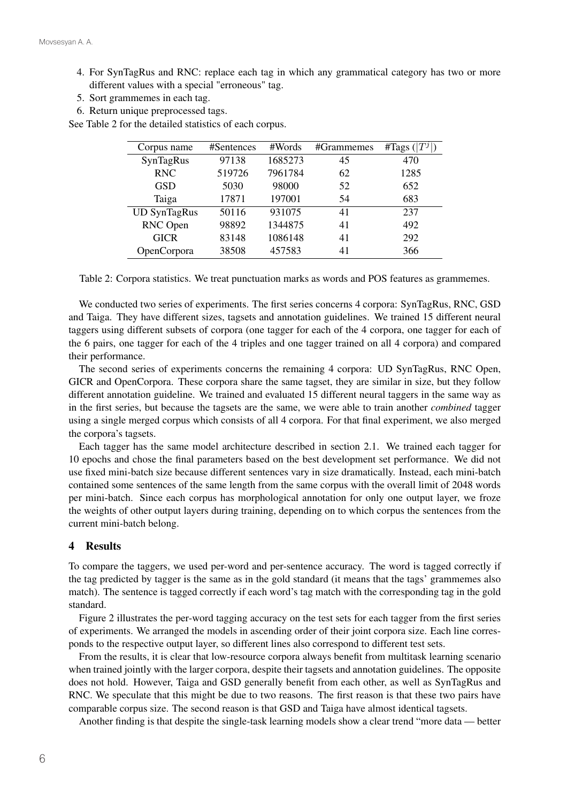- 4. For SynTagRus and RNC: replace each tag in which any grammatical category has two or more different values with a special "erroneous" tag.
- 5. Sort grammemes in each tag.
- 6. Return unique preprocessed tags.

See Table 2 for the detailed statistics of each corpus.

| Corpus name         | #Sentences | #Words  | #Grammemes | #Tags $( T^j )$ |
|---------------------|------------|---------|------------|-----------------|
| SynTagRus           | 97138      | 1685273 | 45         | 470             |
| <b>RNC</b>          | 519726     | 7961784 | 62         | 1285            |
| <b>GSD</b>          | 5030       | 98000   | 52         | 652             |
| Taiga               | 17871      | 197001  | 54         | 683             |
| <b>UD SynTagRus</b> | 50116      | 931075  | 41         | 237             |
| RNC Open            | 98892      | 1344875 | 41         | 492             |
| <b>GICR</b>         | 83148      | 1086148 | 41         | 292             |
| OpenCorpora         | 38508      | 457583  | 41         | 366             |

Table 2: Corpora statistics. We treat punctuation marks as words and POS features as grammemes.

We conducted two series of experiments. The first series concerns 4 corpora: SynTagRus, RNC, GSD and Taiga. They have different sizes, tagsets and annotation guidelines. We trained 15 different neural taggers using different subsets of corpora (one tagger for each of the 4 corpora, one tagger for each of the 6 pairs, one tagger for each of the 4 triples and one tagger trained on all 4 corpora) and compared their performance.

The second series of experiments concerns the remaining 4 corpora: UD SynTagRus, RNC Open, GICR and OpenCorpora. These corpora share the same tagset, they are similar in size, but they follow different annotation guideline. We trained and evaluated 15 different neural taggers in the same way as in the first series, but because the tagsets are the same, we were able to train another *combined* tagger using a single merged corpus which consists of all 4 corpora. For that final experiment, we also merged the corpora's tagsets.

Each tagger has the same model architecture described in section 2.1. We trained each tagger for 10 epochs and chose the final parameters based on the best development set performance. We did not use fixed mini-batch size because different sentences vary in size dramatically. Instead, each mini-batch contained some sentences of the same length from the same corpus with the overall limit of 2048 words per mini-batch. Since each corpus has morphological annotation for only one output layer, we froze the weights of other output layers during training, depending on to which corpus the sentences from the current mini-batch belong.

### 4 Results

To compare the taggers, we used per-word and per-sentence accuracy. The word is tagged correctly if the tag predicted by tagger is the same as in the gold standard (it means that the tags' grammemes also match). The sentence is tagged correctly if each word's tag match with the corresponding tag in the gold standard.

Figure 2 illustrates the per-word tagging accuracy on the test sets for each tagger from the first series of experiments. We arranged the models in ascending order of their joint corpora size. Each line corresponds to the respective output layer, so different lines also correspond to different test sets.

From the results, it is clear that low-resource corpora always benefit from multitask learning scenario when trained jointly with the larger corpora, despite their tagsets and annotation guidelines. The opposite does not hold. However, Taiga and GSD generally benefit from each other, as well as SynTagRus and RNC. We speculate that this might be due to two reasons. The first reason is that these two pairs have comparable corpus size. The second reason is that GSD and Taiga have almost identical tagsets.

Another finding is that despite the single-task learning models show a clear trend "more data — better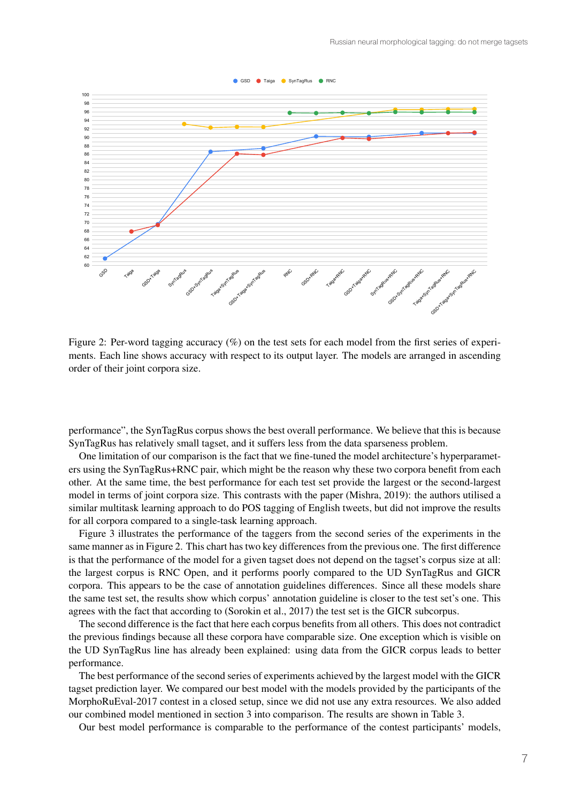

Figure 2: Per-word tagging accuracy  $(\%)$  on the test sets for each model from the first series of experiments. Each line shows accuracy with respect to its output layer. The models are arranged in ascending order of their joint corpora size.

performance", the SynTagRus corpus shows the best overall performance. We believe that this is because SynTagRus has relatively small tagset, and it suffers less from the data sparseness problem.

One limitation of our comparison is the fact that we fine-tuned the model architecture's hyperparameters using the SynTagRus+RNC pair, which might be the reason why these two corpora benefit from each other. At the same time, the best performance for each test set provide the largest or the second-largest model in terms of joint corpora size. This contrasts with the paper (Mishra, 2019): the authors utilised a similar multitask learning approach to do POS tagging of English tweets, but did not improve the results for all corpora compared to a single-task learning approach.

Figure 3 illustrates the performance of the taggers from the second series of the experiments in the same manner as in Figure 2. This chart has two key differences from the previous one. The first difference is that the performance of the model for a given tagset does not depend on the tagset's corpus size at all: the largest corpus is RNC Open, and it performs poorly compared to the UD SynTagRus and GICR corpora. This appears to be the case of annotation guidelines differences. Since all these models share the same test set, the results show which corpus' annotation guideline is closer to the test set's one. This agrees with the fact that according to (Sorokin et al., 2017) the test set is the GICR subcorpus.

The second difference is the fact that here each corpus benefits from all others. This does not contradict the previous findings because all these corpora have comparable size. One exception which is visible on the UD SynTagRus line has already been explained: using data from the GICR corpus leads to better performance.

The best performance of the second series of experiments achieved by the largest model with the GICR tagset prediction layer. We compared our best model with the models provided by the participants of the MorphoRuEval-2017 contest in a closed setup, since we did not use any extra resources. We also added our combined model mentioned in section 3 into comparison. The results are shown in Table 3.

Our best model performance is comparable to the performance of the contest participants' models,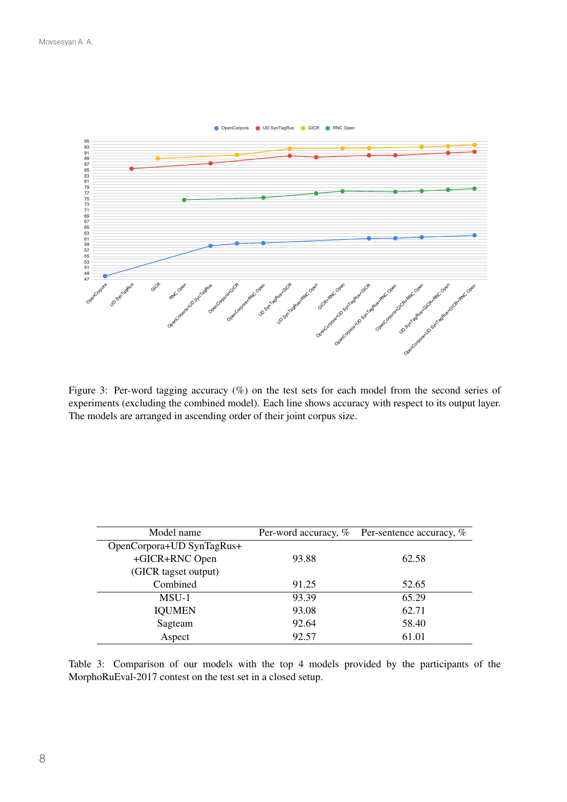

Figure 3: Per-word tagging accuracy (%) on the test sets for each model from the second series of experiments (excluding the combined model). Each line shows accuracy with respect to its output layer. The models are arranged in ascending order of their joint corpus size.

| Model name                | Per-word accuracy, % | Per-sentence accuracy, % |  |
|---------------------------|----------------------|--------------------------|--|
| OpenCorpora+UD SynTagRus+ |                      |                          |  |
| +GICR+RNC Open            | 93.88                | 62.58                    |  |
| (GICR tagset output)      |                      |                          |  |
| Combined                  | 91.25                | 52.65                    |  |
| MSU-1                     | 93.39                | 65.29                    |  |
| <b>IQUMEN</b>             | 93.08                | 62.71                    |  |
| Sagteam                   | 92.64                | 58.40                    |  |
| Aspect                    | 92.57                | 61.01                    |  |

Table 3: Comparison of our models with the top 4 models provided by the participants of the MorphoRuEval-2017 contest on the test set in a closed setup.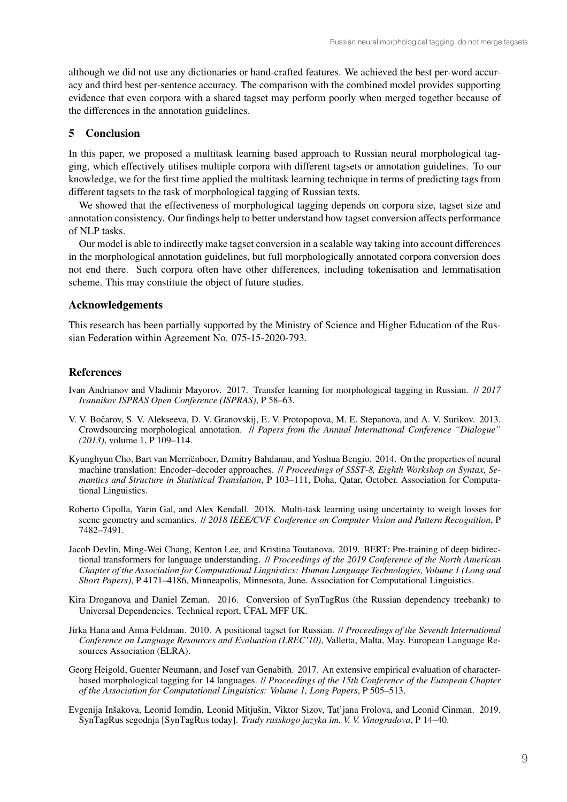although we did not use any dictionaries or hand-crafted features. We achieved the best per-word accuracy and third best per-sentence accuracy. The comparison with the combined model provides supporting evidence that even corpora with a shared tagset may perform poorly when merged together because of the differences in the annotation guidelines.

## 5 Conclusion

In this paper, we proposed a multitask learning based approach to Russian neural morphological tagging, which effectively utilises multiple corpora with different tagsets or annotation guidelines. To our knowledge, we for the first time applied the multitask learning technique in terms of predicting tags from different tagsets to the task of morphological tagging of Russian texts.

We showed that the effectiveness of morphological tagging depends on corpora size, tagset size and annotation consistency. Our findings help to better understand how tagset conversion affects performance of NLP tasks.

Our model is able to indirectly make tagset conversion in a scalable way taking into account differences in the morphological annotation guidelines, but full morphologically annotated corpora conversion does not end there. Such corpora often have other differences, including tokenisation and lemmatisation scheme. This may constitute the object of future studies.

### Acknowledgements

This research has been partially supported by the Ministry of Science and Higher Education of the Russian Federation within Agreement No. 075-15-2020-793.

## References

- Ivan Andrianov and Vladimir Mayorov. 2017. Transfer learning for morphological tagging in Russian. // *2017 Ivannikov ISPRAS Open Conference (ISPRAS)*, P 58–63.
- V. V. Bočarov, S. V. Alekseeva, D. V. Granovskij, E. V. Protopopova, M. E. Stepanova, and A. V. Surikov. 2013. Crowdsourcing morphological annotation. // *Papers from the Annual International Conference "Dialogue" (2013)*, volume 1, P 109–114.
- Kyunghyun Cho, Bart van Merriënboer, Dzmitry Bahdanau, and Yoshua Bengio. 2014. On the properties of neural machine translation: Encoder–decoder approaches. // *Proceedings of SSST-8, Eighth Workshop on Syntax, Semantics and Structure in Statistical Translation*, P 103–111, Doha, Qatar, October. Association for Computational Linguistics.
- Roberto Cipolla, Yarin Gal, and Alex Kendall. 2018. Multi-task learning using uncertainty to weigh losses for scene geometry and semantics. // *2018 IEEE/CVF Conference on Computer Vision and Pattern Recognition*, P 7482–7491.
- Jacob Devlin, Ming-Wei Chang, Kenton Lee, and Kristina Toutanova. 2019. BERT: Pre-training of deep bidirectional transformers for language understanding. // *Proceedings of the 2019 Conference of the North American Chapter of the Association for Computational Linguistics: Human Language Technologies, Volume 1 (Long and Short Papers)*, P 4171–4186, Minneapolis, Minnesota, June. Association for Computational Linguistics.
- Kira Droganova and Daniel Zeman. 2016. Conversion of SynTagRus (the Russian dependency treebank) to Universal Dependencies. Technical report, ÚFAL MFF UK.
- Jirka Hana and Anna Feldman. 2010. A positional tagset for Russian. // *Proceedings of the Seventh International Conference on Language Resources and Evaluation (LREC'10)*, Valletta, Malta, May. European Language Resources Association (ELRA).
- Georg Heigold, Guenter Neumann, and Josef van Genabith. 2017. An extensive empirical evaluation of characterbased morphological tagging for 14 languages. // *Proceedings of the 15th Conference of the European Chapter of the Association for Computational Linguistics: Volume 1, Long Papers*, P 505–513.
- Evgenija Inšakova, Leonid Iomdin, Leonid Mitjušin, Viktor Sizov, Tat'jana Frolova, and Leonid Cinman. 2019. SynTagRus segodnja [SynTagRus today]. *Trudy russkogo jazyka im. V. V. Vinogradova*, P 14–40.